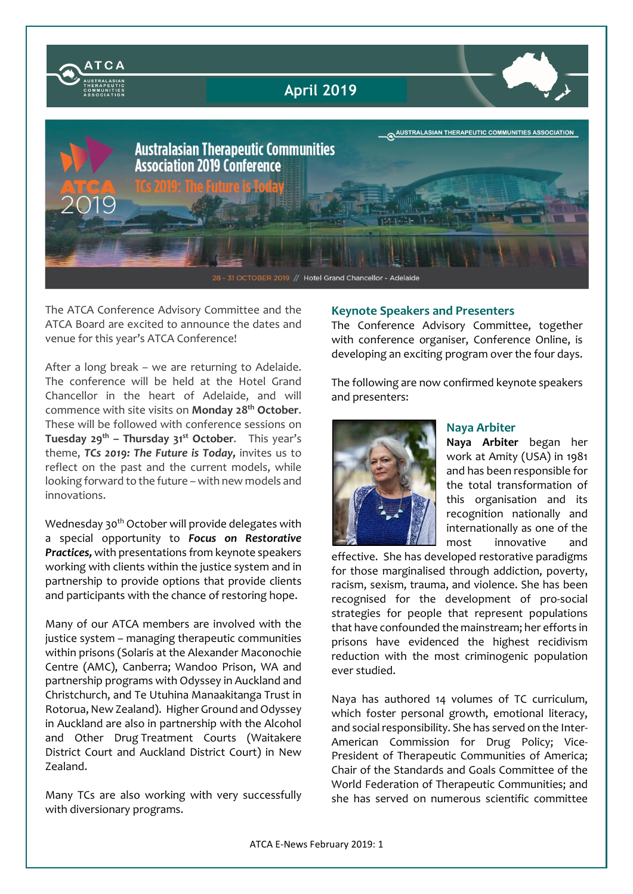

The ATCA Conference Advisory Committee and the ATCA Board are excited to announce the dates and venue for this year's ATCA Conference!

After a long break – we are returning to Adelaide. The conference will be held at the Hotel Grand Chancellor in the heart of Adelaide, and will commence with site visits on Monday 28<sup>th</sup> October. These will be followed with conference sessions on Tuesday  $29^{th}$  – Thursday  $31^{st}$  October. This year's theme, *TCs 2019: The Future is Today,* invites us to reflect on the past and the current models, while looking forward to the future – with new models and innovations.

Wednesday 30<sup>th</sup> October will provide delegates with a special opportunity to *Focus on Restorative Practices,* with presentations from keynote speakers working with clients within the justice system and in partnership to provide options that provide clients and participants with the chance of restoring hope.

Many of our ATCA members are involved with the justice system – managing therapeutic communities within prisons (Solaris at the Alexander Maconochie Centre (AMC), Canberra; Wandoo Prison, WA and partnership programs with Odyssey in Auckland and Christchurch, and Te Utuhina Manaakitanga Trust in Rotorua, New Zealand). Higher Ground and Odyssey in Auckland are also in partnership with the Alcohol and Other Drug Treatment Courts (Waitakere District Court and Auckland District Court) in New Zealand.

Many TCs are also working with very successfully with diversionary programs.

### Keynote Speakers and Presenters

The Conference Advisory Committee, together with conference organiser, Conference Online, is developing an exciting program over the four days.

The following are now confirmed keynote speakers and presenters:



## Naya Arbiter

Naya Arbiter began her work at Amity (USA) in 1981 and has been responsible for the total transformation of this organisation and its recognition nationally and internationally as one of the most innovative and

effective. She has developed restorative paradigms for those marginalised through addiction, poverty, racism, sexism, trauma, and violence. She has been recognised for the development of pro-social strategies for people that represent populations that have confounded the mainstream; her efforts in prisons have evidenced the highest recidivism reduction with the most criminogenic population ever studied.

Naya has authored 14 volumes of TC curriculum, which foster personal growth, emotional literacy, and social responsibility. She has served on the Inter-American Commission for Drug Policy; Vice-President of Therapeutic Communities of America; Chair of the Standards and Goals Committee of the World Federation of Therapeutic Communities; and she has served on numerous scientific committee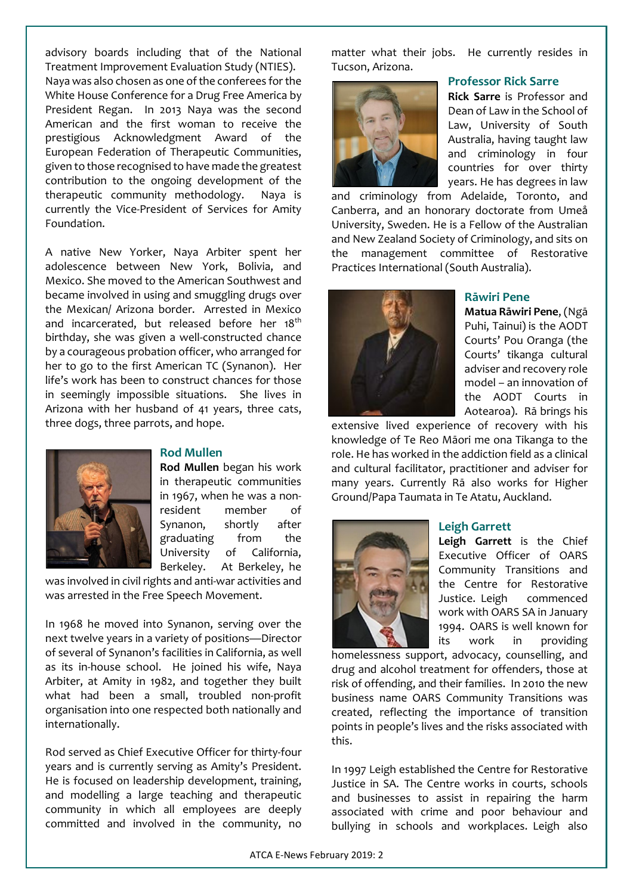advisory boards including that of the National Treatment Improvement Evaluation Study (NTIES). Naya was also chosen as one of the conferees for the White House Conference for a Drug Free America by President Regan. In 2013 Naya was the second American and the first woman to receive the prestigious Acknowledgment Award of the European Federation of Therapeutic Communities, given to those recognised to have made the greatest contribution to the ongoing development of the therapeutic community methodology. Naya is currently the Vice-President of Services for Amity Foundation.

A native New Yorker, Naya Arbiter spent her adolescence between New York, Bolivia, and Mexico. She moved to the American Southwest and became involved in using and smuggling drugs over the Mexican/ Arizona border. Arrested in Mexico and incarcerated, but released before her 18<sup>th</sup> birthday, she was given a well-constructed chance by a courageous probation officer, who arranged for her to go to the first American TC (Synanon). Her life's work has been to construct chances for those in seemingly impossible situations. She lives in Arizona with her husband of 41 years, three cats, three dogs, three parrots, and hope.



### Rod Mullen

Rod Mullen began his work in therapeutic communities in 1967, when he was a nonresident member of Synanon, shortly after graduating from the University of California, Berkeley. At Berkeley, he

was involved in civil rights and anti-war activities and was arrested in the Free Speech Movement.

In 1968 he moved into Synanon, serving over the next twelve years in a variety of positions—Director of several of Synanon's facilities in California, as well as its in-house school. He joined his wife, Naya Arbiter, at Amity in 1982, and together they built what had been a small, troubled non-profit organisation into one respected both nationally and internationally.

Rod served as Chief Executive Officer for thirty-four years and is currently serving as Amity's President. He is focused on leadership development, training, and modelling a large teaching and therapeutic community in which all employees are deeply committed and involved in the community, no matter what their jobs. He currently resides in Tucson, Arizona.



## Professor Rick Sarre

Rick Sarre is Professor and Dean of Law in the School of Law, University of South Australia, having taught law and criminology in four countries for over thirty years. He has degrees in law

and criminology from Adelaide, Toronto, and Canberra, and an honorary doctorate from Umeå University, Sweden. He is a Fellow of the Australian and New Zealand Society of Criminology, and sits on the management committee of Restorative Practices International (South Australia).



### Rāwiri Pene

Matua Rāwiri Pene, (Ngā Puhi, Tainui) is the AODT Courts' Pou Oranga (the Courts' tikanga cultural adviser and recovery role model – an innovation of the AODT Courts in Aotearoa). Rā brings his

extensive lived experience of recovery with his knowledge of Te Reo Māori me ona Tikanga to the role. He has worked in the addiction field as a clinical and cultural facilitator, practitioner and adviser for many years. Currently Rā also works for Higher Ground/Papa Taumata in Te Atatu, Auckland.



### Leigh Garrett

Leigh Garrett is the Chief Executive Officer of OARS Community Transitions and the Centre for Restorative Justice. Leigh commenced work with OARS SA in January 1994. OARS is well known for its work in providing

homelessness support, advocacy, counselling, and drug and alcohol treatment for offenders, those at risk of offending, and their families. In 2010 the new business name OARS Community Transitions was created, reflecting the importance of transition points in people's lives and the risks associated with this.

In 1997 Leigh established the Centre for Restorative Justice in SA. The Centre works in courts, schools and businesses to assist in repairing the harm associated with crime and poor behaviour and bullying in schools and workplaces. Leigh also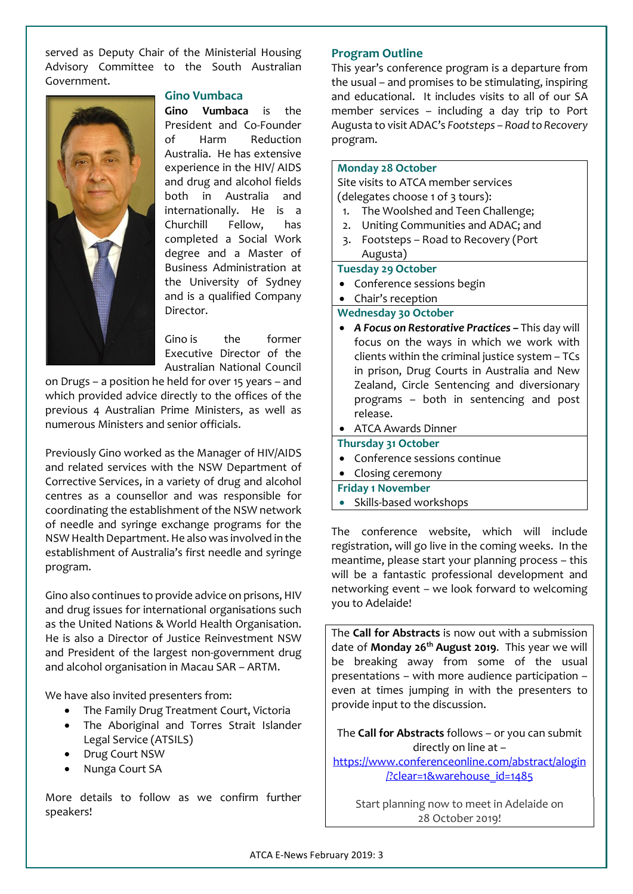served as Deputy Chair of the Ministerial Housing Advisory Committee to the South Australian Government.



#### Gino Vumbaca

Gino Vumbaca is the President and Co-Founder of Harm Reduction Australia. He has extensive experience in the HIV/ AIDS and drug and alcohol fields both in Australia and internationally. He is a Churchill Fellow, has completed a Social Work degree and a Master of Business Administration at the University of Sydney and is a qualified Company Director.

Gino is the former Executive Director of the Australian National Council

on Drugs – a position he held for over 15 years – and which provided advice directly to the offices of the previous 4 Australian Prime Ministers, as well as numerous Ministers and senior officials.

Previously Gino worked as the Manager of HIV/AIDS and related services with the NSW Department of Corrective Services, in a variety of drug and alcohol centres as a counsellor and was responsible for coordinating the establishment of the NSW network of needle and syringe exchange programs for the NSW Health Department. He also was involved in the establishment of Australia's first needle and syringe program.

Gino also continues to provide advice on prisons, HIV and drug issues for international organisations such as the United Nations & World Health Organisation. He is also a Director of Justice Reinvestment NSW and President of the largest non-government drug and alcohol organisation in Macau SAR – ARTM.

We have also invited presenters from:

- The Family Drug Treatment Court, Victoria
- The Aboriginal and Torres Strait Islander Legal Service (ATSILS)
- Drug Court NSW
- Nunga Court SA

More details to follow as we confirm further speakers!

#### Program Outline

This year's conference program is a departure from the usual – and promises to be stimulating, inspiring and educational. It includes visits to all of our SA member services – including a day trip to Port Augusta to visit ADAC's *Footsteps – Road to Recovery*  program.

## Monday 28 October

Site visits to ATCA member services

(delegates choose 1 of 3 tours):

- 1. The Woolshed and Teen Challenge;
- 2. Uniting Communities and ADAC; and
- 3. Footsteps Road to Recovery (Port Augusta)

#### Tuesday 29 October

- Conference sessions begin
- Chair's reception

Wednesday 30 October

 *A Focus on Restorative Practices –* This day will focus on the ways in which we work with clients within the criminal justice system – TCs in prison, Drug Courts in Australia and New Zealand, Circle Sentencing and diversionary programs – both in sentencing and post release.

ATCA Awards Dinner

- Thursday 31 October
- Conference sessions continue
- Closing ceremony
- Friday 1 November
- Skills-based workshops

The conference website, which will include registration, will go live in the coming weeks. In the meantime, please start your planning process – this will be a fantastic professional development and networking event – we look forward to welcoming you to Adelaide!

The Call for Abstracts is now out with a submission date of Monday  $26<sup>th</sup>$  August 2019. This year we will be breaking away from some of the usual presentations – with more audience participation – even at times jumping in with the presenters to provide input to the discussion.

The Call for Abstracts follows - or you can submit directly on line at –

https://www.conferenceonline.com/abstract/alogin /?clear=1&warehouse\_id=1485

Start planning now to meet in Adelaide on 28 October 2019!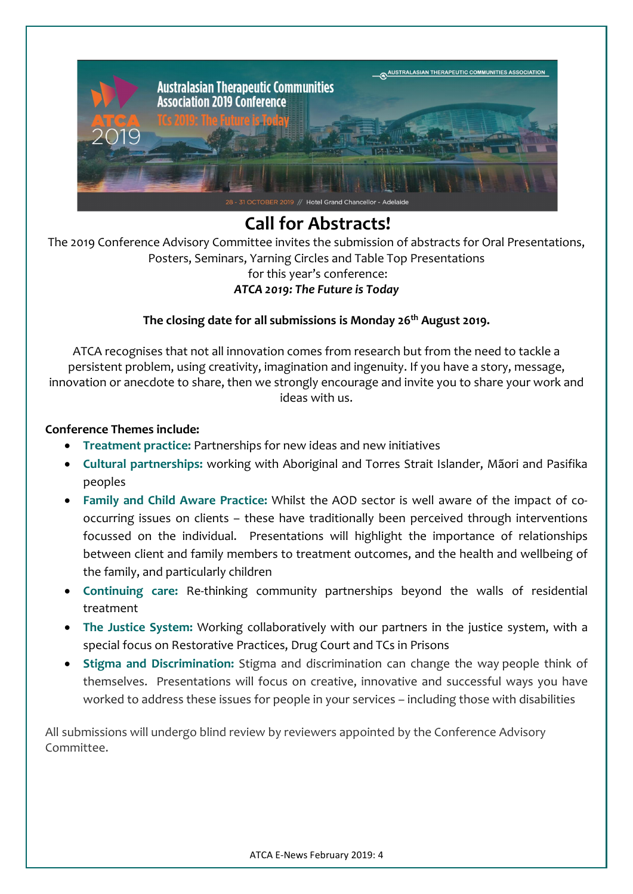

# Call for Abstracts!

The 2019 Conference Advisory Committee invites the submission of abstracts for Oral Presentations, Posters, Seminars, Yarning Circles and Table Top Presentations for this year's conference: *ATCA 2019: The Future is Today*

# The closing date for all submissions is Monday 26<sup>th</sup> August 2019.

ATCA recognises that not all innovation comes from research but from the need to tackle a persistent problem, using creativity, imagination and ingenuity. If you have a story, message, innovation or anecdote to share, then we strongly encourage and invite you to share your work and ideas with us.

# Conference Themes include:

- Treatment practice: Partnerships for new ideas and new initiatives
- Cultural partnerships: working with Aboriginal and Torres Strait Islander, Mãori and Pasifika peoples
- Family and Child Aware Practice: Whilst the AOD sector is well aware of the impact of cooccurring issues on clients – these have traditionally been perceived through interventions focussed on the individual. Presentations will highlight the importance of relationships between client and family members to treatment outcomes, and the health and wellbeing of the family, and particularly children
- Continuing care: Re-thinking community partnerships beyond the walls of residential treatment
- The Justice System: Working collaboratively with our partners in the justice system, with a special focus on Restorative Practices, Drug Court and TCs in Prisons
- Stigma and Discrimination: Stigma and discrimination can change the way people think of themselves. Presentations will focus on creative, innovative and successful ways you have worked to address these issues for people in your services – including those with disabilities

All submissions will undergo blind review by reviewers appointed by the Conference Advisory Committee.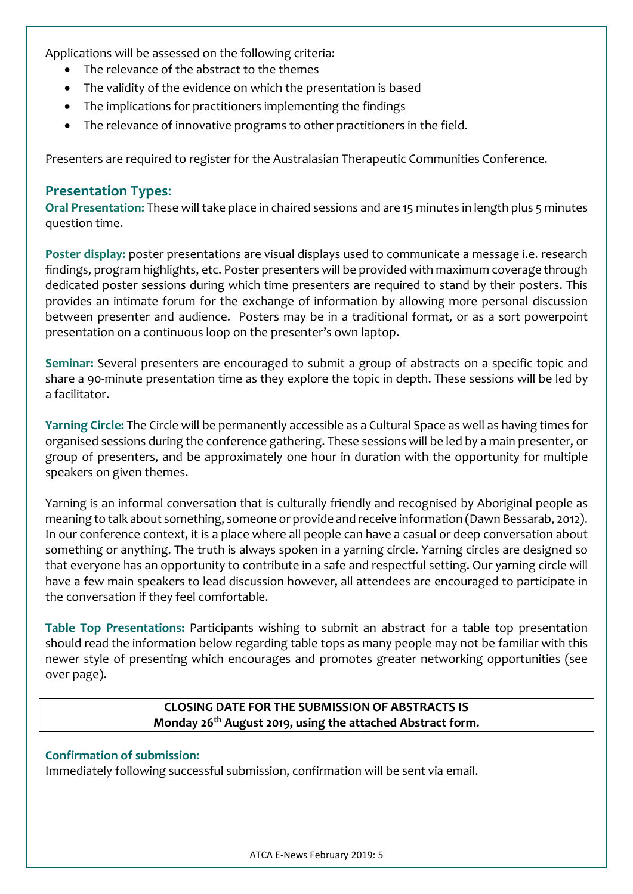Applications will be assessed on the following criteria:

- The relevance of the abstract to the themes
- The validity of the evidence on which the presentation is based
- The implications for practitioners implementing the findings
- The relevance of innovative programs to other practitioners in the field.

Presenters are required to register for the Australasian Therapeutic Communities Conference.

## Presentation Types:

Oral Presentation: These will take place in chaired sessions and are 15 minutes in length plus 5 minutes question time.

Poster display: poster presentations are visual displays used to communicate a message i.e. research findings, program highlights, etc. Poster presenters will be provided with maximum coverage through dedicated poster sessions during which time presenters are required to stand by their posters. This provides an intimate forum for the exchange of information by allowing more personal discussion between presenter and audience. Posters may be in a traditional format, or as a sort powerpoint presentation on a continuous loop on the presenter's own laptop.

Seminar: Several presenters are encouraged to submit a group of abstracts on a specific topic and share a 90-minute presentation time as they explore the topic in depth. These sessions will be led by a facilitator.

Yarning Circle: The Circle will be permanently accessible as a Cultural Space as well as having times for organised sessions during the conference gathering. These sessions will be led by a main presenter, or group of presenters, and be approximately one hour in duration with the opportunity for multiple speakers on given themes.

Yarning is an informal conversation that is culturally friendly and recognised by Aboriginal people as meaning to talk about something, someone or provide and receive information (Dawn Bessarab, 2012). In our conference context, it is a place where all people can have a casual or deep conversation about something or anything. The truth is always spoken in a yarning circle. Yarning circles are designed so that everyone has an opportunity to contribute in a safe and respectful setting. Our yarning circle will have a few main speakers to lead discussion however, all attendees are encouraged to participate in the conversation if they feel comfortable.

Table Top Presentations: Participants wishing to submit an abstract for a table top presentation should read the information below regarding table tops as many people may not be familiar with this newer style of presenting which encourages and promotes greater networking opportunities (see over page).

# CLOSING DATE FOR THE SUBMISSION OF ABSTRACTS IS Monday 26<sup>th</sup> August 2019, using the attached Abstract form.

# Confirmation of submission:

Immediately following successful submission, confirmation will be sent via email.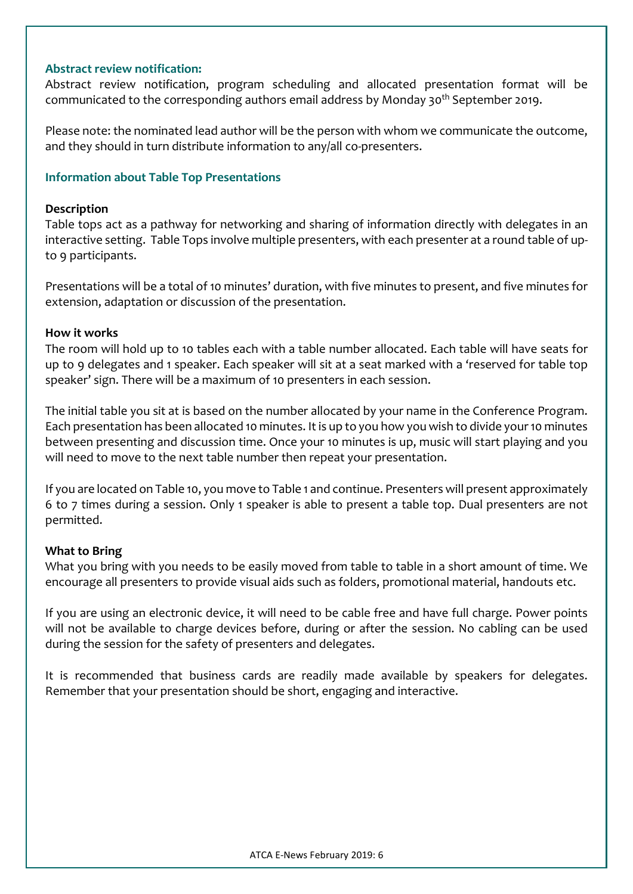## Abstract review notification:

Abstract review notification, program scheduling and allocated presentation format will be communicated to the corresponding authors email address by Monday 30<sup>th</sup> September 2019.

Please note: the nominated lead author will be the person with whom we communicate the outcome, and they should in turn distribute information to any/all co-presenters.

## Information about Table Top Presentations

## Description

Table tops act as a pathway for networking and sharing of information directly with delegates in an interactive setting. Table Tops involve multiple presenters, with each presenter at a round table of upto 9 participants.

Presentations will be a total of 10 minutes' duration, with five minutes to present, and five minutes for extension, adaptation or discussion of the presentation.

## How it works

The room will hold up to 10 tables each with a table number allocated. Each table will have seats for up to 9 delegates and 1 speaker. Each speaker will sit at a seat marked with a 'reserved for table top speaker' sign. There will be a maximum of 10 presenters in each session.

The initial table you sit at is based on the number allocated by your name in the Conference Program. Each presentation has been allocated 10 minutes. It is up to you how you wish to divide your 10 minutes between presenting and discussion time. Once your 10 minutes is up, music will start playing and you will need to move to the next table number then repeat your presentation.

If you are located on Table 10, you move to Table 1 and continue. Presenters will present approximately 6 to 7 times during a session. Only 1 speaker is able to present a table top. Dual presenters are not permitted.

## What to Bring

What you bring with you needs to be easily moved from table to table in a short amount of time. We encourage all presenters to provide visual aids such as folders, promotional material, handouts etc.

If you are using an electronic device, it will need to be cable free and have full charge. Power points will not be available to charge devices before, during or after the session. No cabling can be used during the session for the safety of presenters and delegates.

It is recommended that business cards are readily made available by speakers for delegates. Remember that your presentation should be short, engaging and interactive.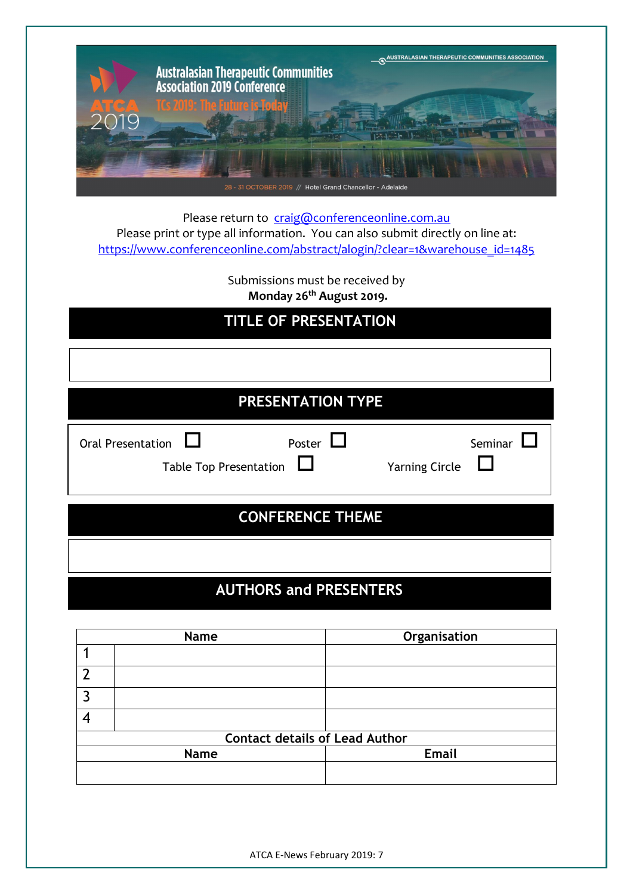

Please return to craig@conferenceonline.com.au Please print or type all information. You can also submit directly on line at: https://www.conferenceonline.com/abstract/alogin/?clear=1&warehouse\_id=1485

> Submissions must be received by Monday 26<sup>th</sup> August 2019.

# TITLE OF PRESENTATION

| PRESENTATION TYPE        |                                                          |                                  |  |
|--------------------------|----------------------------------------------------------|----------------------------------|--|
| <b>Oral Presentation</b> | Poster $\Box$<br>$\Box$<br><b>Table Top Presentation</b> | Seminar<br><b>Yarning Circle</b> |  |
| <b>CONFERENCE THEME</b>  |                                                          |                                  |  |
|                          |                                                          |                                  |  |

# AUTHORS and PRESENTERS

| Name        |                                       | Organisation |  |
|-------------|---------------------------------------|--------------|--|
|             |                                       |              |  |
| ົາ          |                                       |              |  |
|             |                                       |              |  |
|             |                                       |              |  |
|             | <b>Contact details of Lead Author</b> |              |  |
| <b>Name</b> |                                       | <b>Email</b> |  |
|             |                                       |              |  |